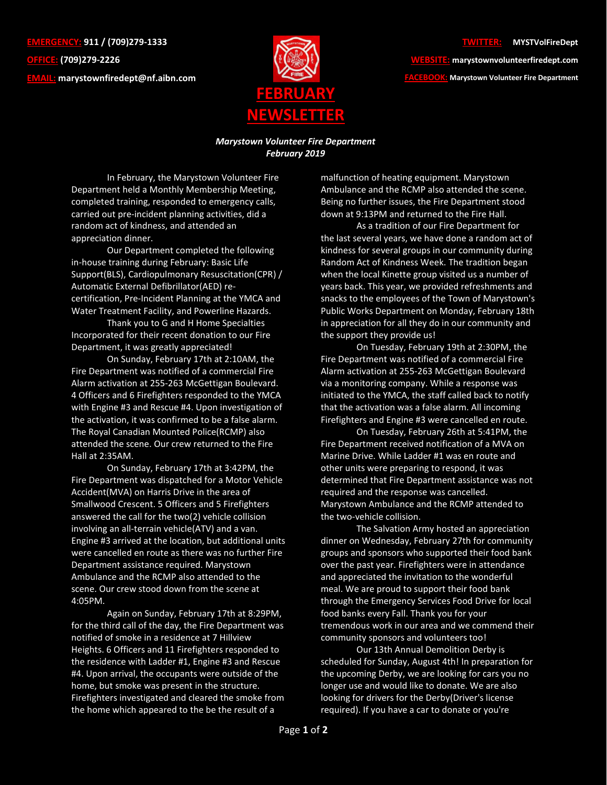**EMERGENCY: 911 / (709)279-1333 OFFICE: (709)279-2226 EMAIL: [marystownfiredept@nf.aibn.com](mailto:marystownfiredept@nf.aibn.com)**



**WEBSITE: marystownvolunteerfiredept.com FACEBOOK: Marystown Volunteer Fire Department**

## *Marystown Volunteer Fire Department February 2019*

In February, the Marystown Volunteer Fire Department held a Monthly Membership Meeting, completed training, responded to emergency calls, carried out pre-incident planning activities, did a random act of kindness, and attended an appreciation dinner.

Our Department completed the following in-house training during February: Basic Life Support(BLS), Cardiopulmonary Resuscitation(CPR) / Automatic External Defibrillator(AED) recertification, Pre-Incident Planning at the YMCA and Water Treatment Facility, and Powerline Hazards.

Thank you to G and H Home Specialties Incorporated for their recent donation to our Fire Department, it was greatly appreciated!

On Sunday, February 17th at 2:10AM, the Fire Department was notified of a commercial Fire Alarm activation at 255-263 McGettigan Boulevard. 4 Officers and 6 Firefighters responded to the YMCA with Engine #3 and Rescue #4. Upon investigation of the activation, it was confirmed to be a false alarm. The Royal Canadian Mounted Police(RCMP) also attended the scene. Our crew returned to the Fire Hall at 2:35AM.

On Sunday, February 17th at 3:42PM, the Fire Department was dispatched for a Motor Vehicle Accident(MVA) on Harris Drive in the area of Smallwood Crescent. 5 Officers and 5 Firefighters answered the call for the two(2) vehicle collision involving an all-terrain vehicle(ATV) and a van. Engine #3 arrived at the location, but additional units were cancelled en route as there was no further Fire Department assistance required. Marystown Ambulance and the RCMP also attended to the scene. Our crew stood down from the scene at 4:05PM.

Again on Sunday, February 17th at 8:29PM, for the third call of the day, the Fire Department was notified of smoke in a residence at 7 Hillview Heights. 6 Officers and 11 Firefighters responded to the residence with Ladder #1, Engine #3 and Rescue #4. Upon arrival, the occupants were outside of the home, but smoke was present in the structure. Firefighters investigated and cleared the smoke from the home which appeared to the be the result of a

malfunction of heating equipment. Marystown Ambulance and the RCMP also attended the scene. Being no further issues, the Fire Department stood down at 9:13PM and returned to the Fire Hall.

As a tradition of our Fire Department for the last several years, we have done a random act of kindness for several groups in our community during Random Act of Kindness Week. The tradition began when the local Kinette group visited us a number of years back. This year, we provided refreshments and snacks to the employees of the Town of Marystown's Public Works Department on Monday, February 18th in appreciation for all they do in our community and the support they provide us!

On Tuesday, February 19th at 2:30PM, the Fire Department was notified of a commercial Fire Alarm activation at 255-263 McGettigan Boulevard via a monitoring company. While a response was initiated to the YMCA, the staff called back to notify that the activation was a false alarm. All incoming Firefighters and Engine #3 were cancelled en route.

On Tuesday, February 26th at 5:41PM, the Fire Department received notification of a MVA on Marine Drive. While Ladder #1 was en route and other units were preparing to respond, it was determined that Fire Department assistance was not required and the response was cancelled. Marystown Ambulance and the RCMP attended to the two-vehicle collision.

The Salvation Army hosted an appreciation dinner on Wednesday, February 27th for community groups and sponsors who supported their food bank over the past year. Firefighters were in attendance and appreciated the invitation to the wonderful meal. We are proud to support their food bank through the Emergency Services Food Drive for local food banks every Fall. Thank you for your tremendous work in our area and we commend their community sponsors and volunteers too!

Our 13th Annual Demolition Derby is scheduled for Sunday, August 4th! In preparation for the upcoming Derby, we are looking for cars you no longer use and would like to donate. We are also looking for drivers for the Derby(Driver's license required). If you have a car to donate or you're